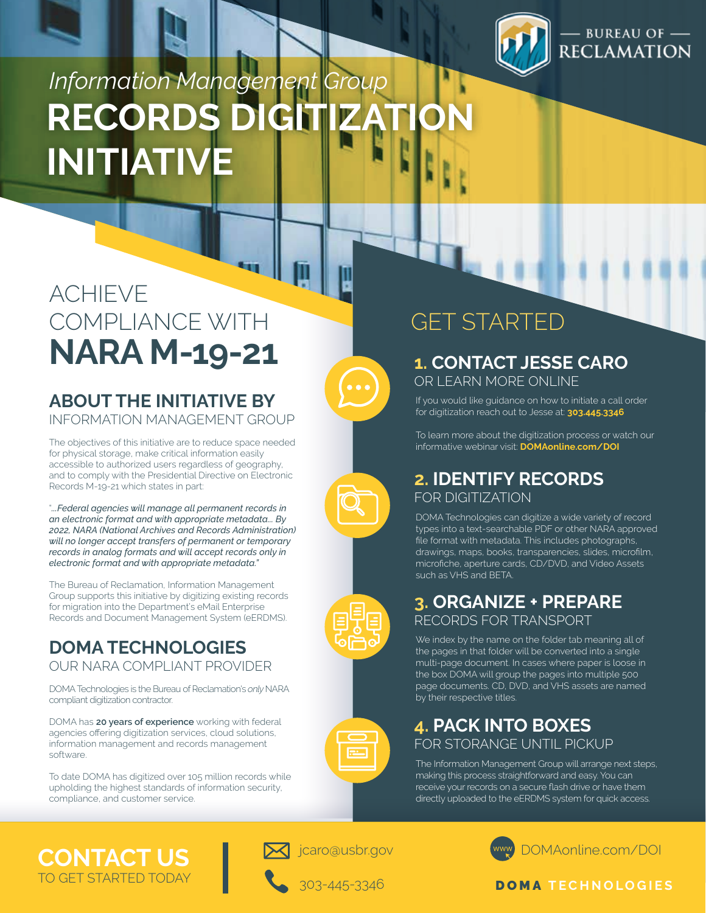

### **BUREAU OF** RECLAMATION

# **RECORDS DIG INITIATIV** *Information Management Group*

### ACHIEVE COMPLIANCE WITH **NARA M-19-21 1. CONTACT JESSE CARO**

#### **ABOUT THE INITIATIVE BY** INFORMATION MANAGEMENT GROUP

The objectives of this initiative are to reduce space needed for physical storage, make critical information easily accessible to authorized users regardless of geography, and to comply with the Presidential Directive on Electronic Records M-19-21 which states in part:

"*...Federal agencies will manage all permanent records in an electronic format and with appropriate metadata... By 2022, NARA (National Archives and Records Administration) will no longer accept transfers of permanent or temporary records in analog formats and will accept records only in electronic format and with appropriate metadata."*

The Bureau of Reclamation, Information Management Group supports this initiative by digitizing existing records for migration into the Department's eMail Enterprise Records and Document Management System (eERDMS).

#### **DOMA TECHNOLOGIES** OUR NARA COMPLIANT PROVIDER

DOMA Technologies is the Bureau of Reclamation's *only* NARA compliant digitization contractor.

DOMA has **20 years of experience** working with federal agencies offering digitization services, cloud solutions, information management and records management software.

To date DOMA has digitized over 105 million records while upholding the highest standards of information security, compliance, and customer service.



### GET STARTED

OR LEARN MORE ONLINE



for digitization reach out to Jesse at: **303.445.3346**



If you would like guidance on how to initiate a call order



#### **2. IDENTIFY RECORDS** FOR DIGITIZATION

DOMA Technologies can digitize a wide variety of record types into a text-searchable PDF or other NARA approved file format with metadata. This includes photographs, drawings, maps, books, transparencies, slides, microfilm, microfiche, aperture cards, CD/DVD, and Video Assets such as VHS and BETA.



#### **3. ORGANIZE + PREPARE** RECORDS FOR TRANSPORT

We index by the name on the folder tab meaning all of the pages in that folder will be converted into a single multi-page document. In cases where paper is loose in the box DOMA will group the pages into multiple 500 page documents. CD, DVD, and VHS assets are named by their respective titles.



#### **4. PACK INTO BOXES** FOR STORANGE UNTIL PICKUP

The Information Management Group will arrange next steps, making this process straightforward and easy. You can receive your records on a secure flash drive or have them directly uploaded to the eERDMS system for quick access.

**CONTACT US** TO GET STARTED TODAY



jcaro@usbr.gov





#### DOMA **TECHNOLOGIES**